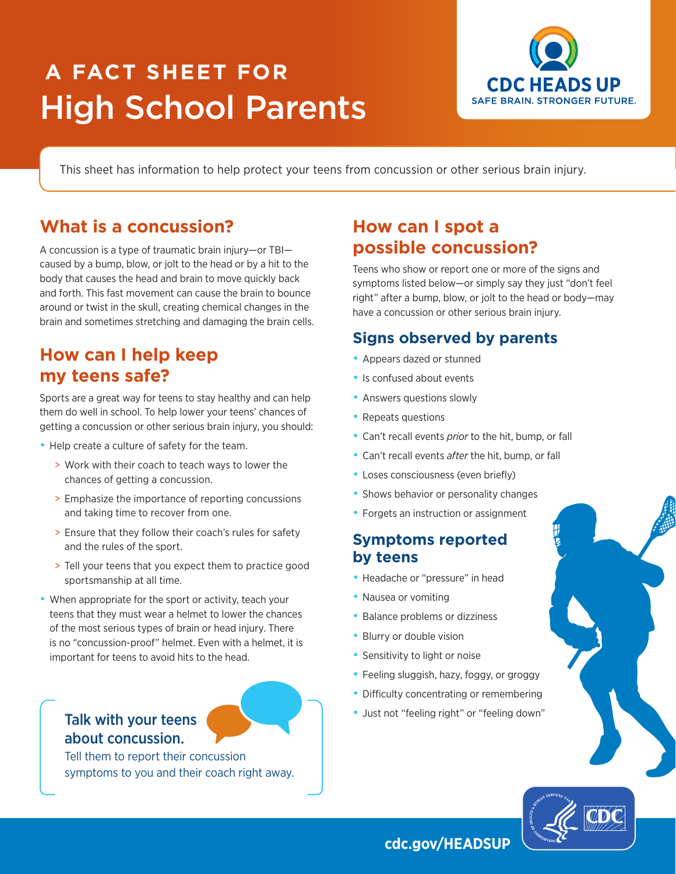# **A FACT SHEET FOR** High School Parents



This sheet has information to help protect your teens from concussion or other serious brain injury.

# **What is a concussion?**

A concussion is a type of traumatic brain injury—or TBI caused by a bump, blow, or jolt to the head or by a hit to the body that causes the head and brain to move quickly back and forth. This fast movement can cause the brain to bounce around or twist in the skull, creating chemical changes in the brain and sometimes stretching and damaging the brain cells.

# **How can I help keep my teens safe?**

Sports are a great way for teens to stay healthy and can help them do well in school. To help lower your teens' chances of getting a concussion or other serious brain injury, you should:

- Help create a culture of safety for the team.
	- > Work with their coach to teach ways to lower the chances of getting a concussion.
	- > Emphasize the importance of reporting concussions and taking time to recover from one.
	- > Ensure that they follow their coach's rules for safety and the rules of the sport.
	- > Tell your teens that you expect them to practice good sportsmanship at all time.
- When appropriate for the sport or activity, teach your teens that they must wear a helmet to lower the chances of the most serious types of brain or head injury. There is no "concussion-proof" helmet. Even with a helmet, it is important for teens to avoid hits to the head.

### Talk with your teens about concussion.

Tell them to report their concussion symptoms to you and their coach right away.

# **How can I spot a possible concussion?**

Teens who show or report one or more of the signs and symptoms listed below—or simply say they just "don't feel right" after a bump, blow, or jolt to the head or body—may have a concussion or other serious brain injury.

#### **Signs observed by parents**

- Appears dazed or stunned
- Is confused about events
- Answers questions slowly
- Repeats questions
- Can't recall events *prior* to the hit, bump, or fall
- Can't recall events *after* the hit, bump, or fall
- Loses consciousness (even briefly)
- Shows behavior or personality changes
- Forgets an instruction or assignment

#### **Symptoms reported by teens**

- Headache or "pressure" in head
- Nausea or vomiting
- Balance problems or dizziness
- Blurry or double vision
- Sensitivity to light or noise
- Feeling sluggish, hazy, foggy, or groggy
- Difficulty concentrating or remembering
- Just not "feeling right" or "feeling down"



#### **cdc.gov/HEADSUP**